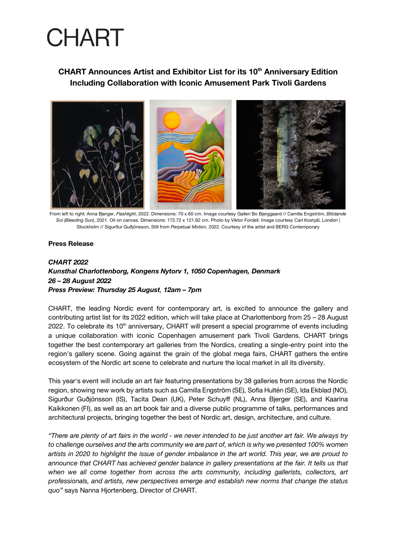## **CHART Announces Artist and Exhibitor List for its 10th Anniversary Edition Including Collaboration with Iconic Amusement Park Tivoli Gardens**



From left to right: Anna Bjerger, *Flashlight*, 2022. Dimensions: 70 x 60 cm. Image courtesy Galleri Bo Bjerggaard // Camilla Engström, *Blödande Sol (Bleeding Sun)*, 2021. Oil on canvas. Dimensions: 172.72 x 121.92 cm. Photo by Viktor Fordell. Image courtesy Carl Kostyál, London | Stockholm // Sigurður Guðjónsson, Still from *Perpetual Motion*, 2022. Courtesy of the artist and BERG Contemporary

#### **Press Release**

## *CHART 2022 Kunsthal Charlottenborg, Kongens Nytorv 1, 1050 Copenhagen, Denmark 26 – 28 August 2022 Press Preview: Thursday 25 August, 12am – 7pm*

CHART, the leading Nordic event for contemporary art, is excited to announce the gallery and contributing artist list for its 2022 edition, which will take place at Charlottenborg from 25 – 28 August 2022. To celebrate its 10<sup>th</sup> anniversary, CHART will present a special programme of events including a unique collaboration with iconic Copenhagen amusement park Tivoli Gardens. CHART brings together the best contemporary art galleries from the Nordics, creating a single-entry point into the region's gallery scene. Going against the grain of the global mega fairs, CHART gathers the entire ecosystem of the Nordic art scene to celebrate and nurture the local market in all its diversity.

This year's event will include an art fair featuring presentations by 38 galleries from across the Nordic region, showing new work by artists such as Camilla Engström (SE), Sofia Hultén (SE), Ida Ekblad (NO), Sigurður Guðjónsson (IS), Tacita Dean (UK), Peter Schuyff (NL), Anna Bjerger (SE), and Kaarina Kaikkonen (FI), as well as an art book fair and a diverse public programme of talks, performances and architectural projects, bringing together the best of Nordic art, design, architecture, and culture.

*"There are plenty of art fairs in the world - we never intended to be just another art fair. We always try to challenge ourselves and the arts community we are part of, which is why we presented 100% women artists in 2020 to highlight the issue of gender imbalance in the art world. This year, we are proud to announce that CHART has achieved gender balance in gallery presentations at the fair. It tells us that when we all come together from across the arts community, including gallerists, collectors, art professionals, and artists, new perspectives emerge and establish new norms that change the status quo"* says Nanna Hjortenberg, Director of CHART.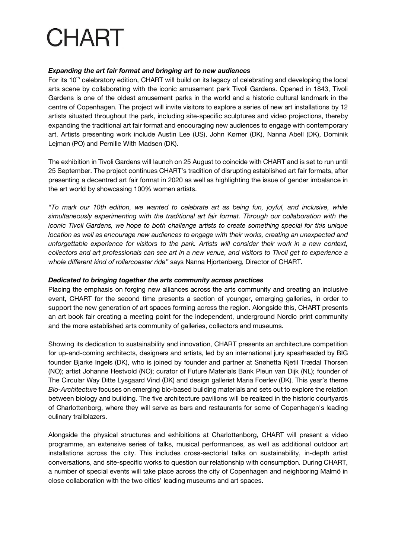### *Expanding the art fair format and bringing art to new audiences*

For its 10<sup>th</sup> celebratory edition, CHART will build on its legacy of celebrating and developing the local arts scene by collaborating with the iconic amusement park Tivoli Gardens. Opened in 1843, Tivoli Gardens is one of the oldest amusement parks in the world and a historic cultural landmark in the centre of Copenhagen. The project will invite visitors to explore a series of new art installations by 12 artists situated throughout the park, including site-specific sculptures and video projections, thereby expanding the traditional art fair format and encouraging new audiences to engage with contemporary art. Artists presenting work include Austin Lee (US), John Kørner (DK), Nanna Abell (DK), Dominik Lejman (PO) and Pernille With Madsen (DK).

The exhibition in Tivoli Gardens will launch on 25 August to coincide with CHART and is set to run until 25 September. The project continues CHART's tradition of disrupting established art fair formats, after presenting a decentred art fair format in 2020 as well as highlighting the issue of gender imbalance in the art world by showcasing 100% women artists.

*"To mark our 10th edition, we wanted to celebrate art as being fun, joyful, and inclusive, while simultaneously experimenting with the traditional art fair format. Through our collaboration with the iconic Tivoli Gardens, we hope to both challenge artists to create something special for this unique location as well as encourage new audiences to engage with their works, creating an unexpected and unforgettable experience for visitors to the park. Artists will consider their work in a new context, collectors and art professionals can see art in a new venue, and visitors to Tivoli get to experience a whole different kind of rollercoaster ride"* says Nanna Hjortenberg, Director of CHART.

#### *Dedicated to bringing together the arts community across practices*

Placing the emphasis on forging new alliances across the arts community and creating an inclusive event, CHART for the second time presents a section of younger, emerging galleries, in order to support the new generation of art spaces forming across the region. Alongside this, CHART presents an art book fair creating a meeting point for the independent, underground Nordic print community and the more established arts community of galleries, collectors and museums.

Showing its dedication to sustainability and innovation, CHART presents an architecture competition for up-and-coming architects, designers and artists, led by an international jury spearheaded by BIG founder Bjarke Ingels (DK), who is joined by founder and partner at Snøhetta Kjetil Trædal Thorsen (NO); artist Johanne Hestvold (NO); curator of Future Materials Bank Pleun van Dijk (NL); founder of The Circular Way Ditte Lysgaard Vind (DK) and design gallerist Maria Foerlev (DK). This year's theme *Bio-Architecture* focuses on emerging bio-based building materials and sets out to explore the relation between biology and building. The five architecture pavilions will be realized in the historic courtyards of Charlottenborg, where they will serve as bars and restaurants for some of Copenhagen's leading culinary trailblazers.

Alongside the physical structures and exhibitions at Charlottenborg, CHART will present a video programme, an extensive series of talks, musical performances, as well as additional outdoor art installations across the city. This includes cross-sectorial talks on sustainability, in-depth artist conversations, and site-specific works to question our relationship with consumption. During CHART, a number of special events will take place across the city of Copenhagen and neighboring Malmö in close collaboration with the two cities' leading museums and art spaces.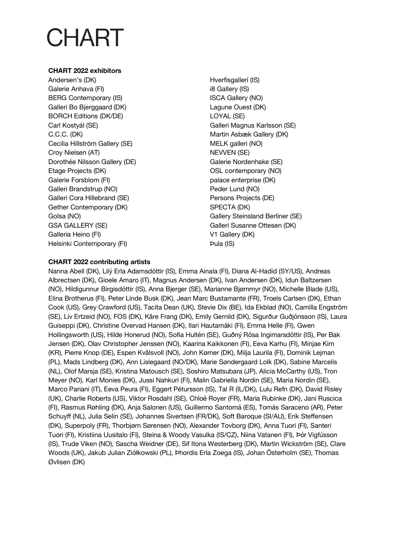## **CHART 2022 exhibitors**

Andersen's (DK) Galerie Anhava (FI) BERG Contemporary (IS) Galleri Bo Bjerggaard (DK) BORCH Editions (DK/DE) Carl Kostyál (SE) C.C.C. (DK) Cecilia Hillström Gallery (SE) Croy Nielsen (AT) Dorothée Nilsson Gallery (DE) Etage Projects (DK) Galerie Forsblom (FI) Galleri Brandstrup (NO) Galleri Cora Hillebrand (SE) Gether Contemporary (DK) Golsa (NO) GSA GALLERY (SE) Galleria Heino (FI) Helsinki Contemporary (FI)

Hverfisgallerí (IS) i8 Gallery (IS) ISCA Gallery (NO) Lagune Ouest (DK) LOYAL (SE) Galleri Magnus Karlsson (SE) Martin Asbæk Gallery (DK) MELK galleri (NO) NEVVEN (SE) Galerie Nordenhake (SE) OSL contemporary (NO) palace enterprise (DK) Peder Lund (NO) Persons Projects (DE) SPECTA (DK) Gallery Steinsland Berliner (SE) Galleri Susanne Ottesen (DK) V1 Gallery (DK) Þula (IS)

## **CHART 2022 contributing artists**

Nanna Abell (DK), Lilý Erla Adamsdóttir (IS), Emma Ainala (FI), Diana Al-Hadid (SY/US), Andreas Albrectsen (DK), Gioele Amaro (IT), Magnus Andersen (DK), Ivan Andersen (DK), Idun Baltzersen (NO), Hildigunnur Birgisdóttir (IS), Anna Bjerger (SE), Marianne Bjørnmyr (NO), Michelle Blade (US), Elina Brotherus (FI), Peter Linde Busk (DK), Jean Marc Bustamante (FR), Troels Carlsen (DK), Ethan Cook (US), Grey Crawford (US), Tacita Dean (UK), Stevie Dix (BE), Ida Ekblad (NO), Camilla Engström (SE), Liv Ertzeid (NO), FOS (DK), Kåre Frang (DK), Emily Gernild (DK), Sigurður Guðjónsson (IS), Laura Guiseppi (DK), Christine Overvad Hansen (DK), Ilari Hautamäki (FI), Emma Helle (FI), Gwen Hollingsworth (US), Hilde Honerud (NO), Sofia Hultén (SE), Guðný Rósa Ingimarsdóttir (IS), Per Bak Jensen (DK), Olav Christopher Jenssen (NO), Kaarina Kaikkonen (FI), Eeva Karhu (FI), Minjae Kim (KR), Pierre Knop (DE), Espen Kvålsvoll (NO), John Kørner (DK), Milja Laurila (FI), Dominik Lejman (PL), Mads Lindberg (DK), Ann Lislegaard (NO/DK), Marie Søndergaard Lolk (DK), Sabine Marcelis (NL), Olof Marsja (SE), Kristina Matousch (SE), Soshiro Matsubara (JP), Alicia McCarthy (US), Tron Meyer (NO), Karl Monies (DK), Jussi Nahkuri (FI), Malin Gabriella Nordin (SE), Maria Nordin (SE), Marco Pariani (IT), Eeva Peura (FI), Eggert Pétursson (IS), Tal R (IL/DK), Lulu Refn (DK), David Risley (UK), Charlie Roberts (US), Viktor Rosdahl (SE), Chloé Royer (FR), Maria Rubinke (DK), Jani Ruscica (FI), Rasmus Røhling (DK), Anja Salonen (US), Guillermo Santomá (ES), Tomás Saraceno (AR), Peter Schuyff (NL), Julia Selin (SE), Johannes Sivertsen (FR/DK), Soft Baroque (SI/AU), Erik Steffensen (DK), Superpoly (FR), Thorbjørn Sørensen (NO), Alexander Tovborg (DK), Anna Tuori (FI), Santeri Tuori (FI), Kristiina Uusitalo (FI), Steina & Woody Vasulka (IS/CZ), Niina Vatanen (FI), Þór Vigfússon (IS), Trude Viken (NO), Sascha Weidner (DE), Sif Itona Westerberg (DK), Martin Wickström (SE), Clare Woods (UK), Jakub Julian Ziółkowski (PL), Þhordis Erla Zoega (IS), Johan Österholm (SE), Thomas Øvlisen (DK)